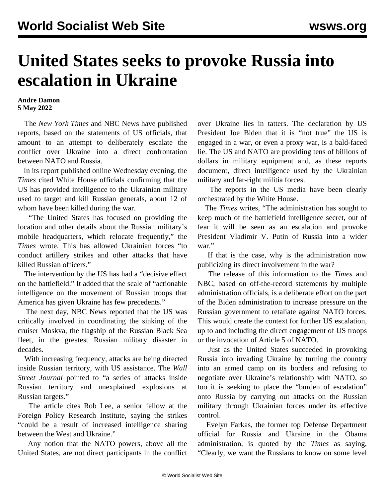## **United States seeks to provoke Russia into escalation in Ukraine**

## **Andre Damon 5 May 2022**

 The *New York Times* and NBC News have published reports, based on the statements of US officials, that amount to an attempt to deliberately escalate the conflict over Ukraine into a direct confrontation between NATO and Russia.

 In its report published online Wednesday evening, the *Times* cited White House officials confirming that the US has provided intelligence to the Ukrainian military used to target and kill Russian generals, about 12 of whom have been killed during the war.

 "The United States has focused on providing the location and other details about the Russian military's mobile headquarters, which relocate frequently," the *Times* wrote. This has allowed Ukrainian forces "to conduct artillery strikes and other attacks that have killed Russian officers."

 The intervention by the US has had a "decisive effect on the battlefield." It added that the scale of "actionable intelligence on the movement of Russian troops that America has given Ukraine has few precedents."

 The next day, NBC News reported that the US was critically involved in coordinating the sinking of the cruiser Moskva, the flagship of the Russian Black Sea fleet, in the greatest Russian military disaster in decades.

 With increasing frequency, attacks are being directed inside Russian territory, with US assistance. The *Wall Street Journal* pointed to "a series of attacks inside Russian territory and unexplained explosions at Russian targets."

 The article cites Rob Lee, a senior fellow at the Foreign Policy Research Institute, saying the strikes "could be a result of increased intelligence sharing between the West and Ukraine."

 Any notion that the NATO powers, above all the United States, are not direct participants in the conflict over Ukraine lies in tatters. The declaration by US President Joe Biden that it is "not true" the US is engaged in a war, or even a proxy war, is a bald-faced lie. The US and NATO are providing tens of billions of dollars in military equipment and, as these reports document, direct intelligence used by the Ukrainian military and far-right militia forces.

 The reports in the US media have been clearly orchestrated by the White House.

 The *Times* writes, "The administration has sought to keep much of the battlefield intelligence secret, out of fear it will be seen as an escalation and provoke President Vladimir V. Putin of Russia into a wider war."

 If that is the case, why is the administration now publicizing its direct involvement in the war?

 The release of this information to the *Times* and NBC, based on off-the-record statements by multiple administration officials, is a deliberate effort on the part of the Biden administration to increase pressure on the Russian government to retaliate against NATO forces. This would create the context for further US escalation, up to and including the direct engagement of US troops or the invocation of Article 5 of NATO.

 Just as the United States succeeded in provoking Russia into invading Ukraine by turning the country into an armed camp on its borders and refusing to negotiate over Ukraine's relationship with NATO, so too it is seeking to place the "burden of escalation" onto Russia by carrying out attacks on the Russian military through Ukrainian forces under its effective control.

 Evelyn Farkas, the former top Defense Department official for Russia and Ukraine in the Obama administration, is quoted by the *Times* as saying, "Clearly, we want the Russians to know on some level